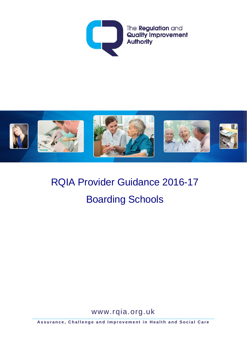



# RQIA Provider Guidance 2016-17 Boarding Schools

www.rqia.org.uk

**Assurance, Challenge and Improvement in Health and Social Care**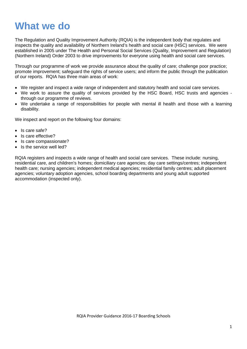## **What we do**

The Regulation and Quality Improvement Authority (RQIA) is the independent body that regulates and inspects the quality and availability of Northern Ireland's health and social care (HSC) services. We were established in 2005 under The Health and Personal Social Services (Quality, Improvement and Regulation) (Northern Ireland) Order 2003 to drive improvements for everyone using health and social care services.

Through our programme of work we provide assurance about the quality of care; challenge poor practice; promote improvement; safeguard the rights of service users; and inform the public through the publication of our reports. RQIA has three main areas of work:

- We register and inspect a wide range of independent and statutory health and social care services.
- We work to assure the quality of services provided by the HSC Board, HSC trusts and agencies through our programme of reviews.
- We undertake a range of responsibilities for people with mental ill health and those with a learning disability.

We inspect and report on the following four domains:

- Is care safe?
- Is care effective?
- Is care compassionate?
- Is the service well led?

RQIA registers and inspects a wide range of health and social care services. These include: nursing, residential care, and children's homes; domiciliary care agencies; day care settings/centres; independent health care; nursing agencies; independent medical agencies; residential family centres; adult placement agencies; voluntary adoption agencies, school boarding departments and young adult supported accommodation (inspected only).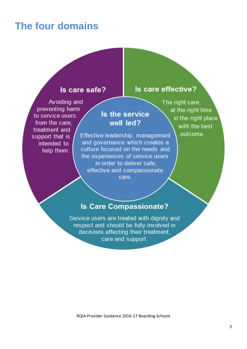## **The four domains**

### Is care safe?

### Is care effective?

Avoiding and preventing harm to service users from the care. treatment and support that is intended to help them.

Is the service well led?

Effective leadership, management and governance which creates a culture focused on the needs and the experiences of service users in order to deliver safe. effective and compassionate care

The right care, at the right time in the right place with the best outcome.

### **Is Care Compassionate?**

Service users are treated with dignity and respect and should be fully involved in decisions affecting their treatment, care and support.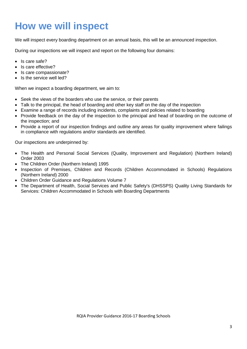## **How we will inspect**

We will inspect every boarding department on an annual basis, this will be an announced inspection.

During our inspections we will inspect and report on the following four domains:

- Is care safe?
- Is care effective?
- Is care compassionate?
- Is the service well led?

When we inspect a boarding department, we aim to:

- Seek the views of the boarders who use the service, or their parents
- Talk to the principal, the head of boarding and other key staff on the day of the inspection
- Examine a range of records including incidents, complaints and policies related to boarding
- Provide feedback on the day of the inspection to the principal and head of boarding on the outcome of the inspection; and
- Provide a report of our inspection findings and outline any areas for quality improvement where failings in compliance with regulations and/or standards are identified.

Our inspections are underpinned by:

- The Health and Personal Social Services (Quality, Improvement and Regulation) (Northern Ireland) Order 2003
- The Children Order (Northern Ireland) 1995
- Inspection of Premises, Children and Records (Children Accommodated in Schools) Regulations (Northern Ireland) 2000
- Children Order Guidance and Regulations Volume 7
- The Department of Health, Social Services and Public Safety's (DHSSPS) Quality Living Standards for Services: Children Accommodated in Schools with Boarding Departments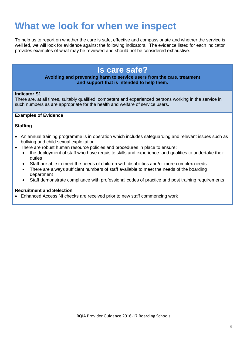## **What we look for when we inspect**

To help us to report on whether the care is safe, effective and compassionate and whether the service is well led, we will look for evidence against the following indicators. The evidence listed for each indicator provides examples of what may be reviewed and should not be considered exhaustive.

### **Is care safe?**

#### **Avoiding and preventing harm to service users from the care, treatment and support that is intended to help them.**

#### **Indicator S1**

There are, at all times, suitably qualified, competent and experienced persons working in the service in such numbers as are appropriate for the health and welfare of service users.

#### **Examples of Evidence**

#### **Staffing**

- An annual training programme is in operation which includes safeguarding and relevant issues such as bullying and child sexual exploitation
- There are robust human resource policies and procedures in place to ensure:
	- the deployment of staff who have requisite skills and experience and qualities to undertake their duties
	- Staff are able to meet the needs of children with disabilities and/or more complex needs
	- There are always sufficient numbers of staff available to meet the needs of the boarding department
	- Staff demonstrate compliance with professional codes of practice and post training requirements

#### **Recruitment and Selection**

• Enhanced Access NI checks are received prior to new staff commencing work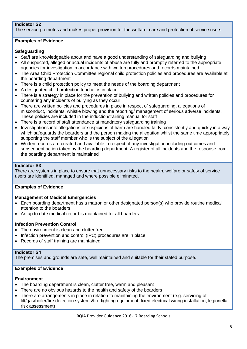#### **Indicator S2**

The service promotes and makes proper provision for the welfare, care and protection of service users.

#### **Examples of Evidence**

#### **Safeguarding**

- Staff are knowledgeable about and have a good understanding of safeguarding and bullying
- All suspected, alleged or actual incidents of abuse are fully and promptly referred to the appropriate agencies for investigation in accordance with written procedures and records maintained
- The Area Child Protection Committee regional child protection policies and procedures are available at the boarding department
- There is a child protection policy to meet the needs of the boarding department
- A designated child protection teacher is in place
- There is a strategy in place for the prevention of bullying and written policies and procedures for countering any incidents of bullying as they occur
- There are written policies and procedures in place in respect of safeguarding, allegations of misconduct, incidents, whistle blowing and the reporting/ management of serious adverse incidents. These policies are included in the induction/training manual for staff
- There is a record of staff attendance at mandatory safeguarding training
- Investigations into allegations or suspicions of harm are handled fairly, consistently and quickly in a way which safeguards the boarders and the person making the allegation whilst the same time appropriately supporting the staff member who is the subject of the allegation
- Written records are created and available in respect of any investigation including outcomes and subsequent action taken by the boarding department. A register of all incidents and the response from the boarding department is maintained

#### **Indicator S3**

There are systems in place to ensure that unnecessary risks to the health, welfare or safety of service users are identified, managed and where possible eliminated.

#### **Examples of Evidence**

#### **Management of Medical Emergencies**

- Each boarding department has a matron or other designated person(s) who provide routine medical attention to the boarders
- An up to date medical record is maintained for all boarders

#### **Infection Prevention Control**

- The environment is clean and clutter free
- Infection prevention and control (IPC) procedures are in place
- Records of staff training are maintained

#### **Indicator S4**

The premises and grounds are safe, well maintained and suitable for their stated purpose.

#### **Examples of Evidence**

#### **Environment**

- The boarding department is clean, clutter free, warm and pleasant
- There are no obvious hazards to the health and safety of the boarders
- There are arrangements in place in relation to maintaining the environment (e.g. servicing of lift/gas/boiler/fire detection systems/fire-fighting equipment, fixed electrical wiring installation, legionella risk assessment)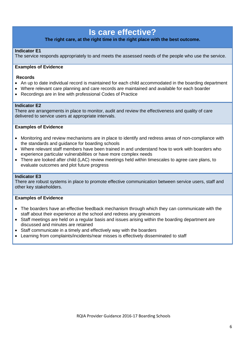## **Is care effective?**

#### **The right care, at the right time in the right place with the best outcome.**

#### **Indicator E1**

The service responds appropriately to and meets the assessed needs of the people who use the service.

#### **Examples of Evidence**

#### **Records**

- An up to date individual record is maintained for each child accommodated in the boarding department
- Where relevant care planning and care records are maintained and available for each boarder
- Recordings are in line with professional Codes of Practice

#### **Indicator E2**

There are arrangements in place to monitor, audit and review the effectiveness and quality of care delivered to service users at appropriate intervals.

#### **Examples of Evidence**

- Monitoring and review mechanisms are in place to identify and redress areas of non-compliance with the standards and guidance for boarding schools
- Where relevant staff members have been trained in and understand how to work with boarders who experience particular vulnerabilities or have more complex needs
- There are looked after child (LAC) review meetings held within timescales to agree care plans, to evaluate outcomes and plot future progress

#### **Indicator E3**

There are robust systems in place to promote effective communication between service users, staff and other key stakeholders.

#### **Examples of Evidence**

- The boarders have an effective feedback mechanism through which they can communicate with the staff about their experience at the school and redress any grievances
- Staff meetings are held on a regular basis and issues arising within the boarding department are discussed and minutes are retained
- Staff communicate in a timely and effectively way with the boarders
- Learning from complaints/incidents/near misses is effectively disseminated to staff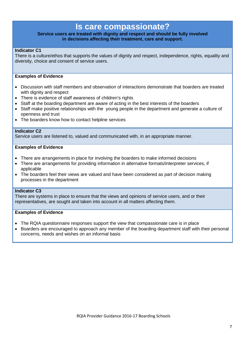## **Is care compassionate?**

#### **Service users are treated with dignity and respect and should be fully involved in decisions affecting their treatment, care and support.**

#### **Indicator C1**

There is a culture/ethos that supports the values of dignity and respect, independence, rights, equality and diversity, choice and consent of service users.

#### **Examples of Evidence**

- Discussion with staff members and observation of interactions demonstrate that boarders are treated with dignity and respect
- There is evidence of staff awareness of children's rights
- Staff at the boarding department are aware of acting in the best interests of the boarders
- Staff make positive relationships with the young people in the department and generate a culture of openness and trust
- The boarders know how to contact helpline services

#### **Indicator C2**

Service users are listened to, valued and communicated with, in an appropriate manner.

#### **Examples of Evidence**

- There are arrangements in place for involving the boarders to make informed decisions
- There are arrangements for providing information in alternative formats/interpreter services, if applicable
- The boarders feel their views are valued and have been considered as part of decision making processes in the department

#### **Indicator C3**

There are systems in place to ensure that the views and opinions of service users, and or their representatives, are sought and taken into account in all matters affecting them.

#### **Examples of Evidence**

- The RQIA questionnaire responses support the view that compassionate care is in place
- Boarders are encouraged to approach any member of the boarding department staff with their personal concerns, needs and wishes on an informal basis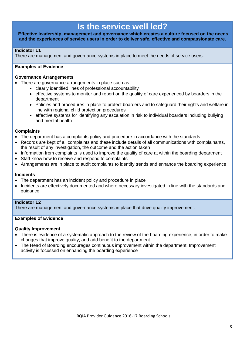## **Is the service well led?**

#### **Effective leadership, management and governance which creates a culture focused on the needs and the experiences of service users in order to deliver safe, effective and compassionate care.**

#### **Indicator L1**

There are management and governance systems in place to meet the needs of service users.

#### **Examples of Evidence**

#### **Governance Arrangements**

- There are governance arrangements in place such as:
	- clearly identified lines of professional accountability
	- effective systems to monitor and report on the quality of care experienced by boarders in the department
	- Policies and procedures in place to protect boarders and to safeguard their rights and welfare in line with regional child protection procedures
	- effective systems for identifying any escalation in risk to individual boarders including bullying and mental health

#### **Complaints**

- The department has a complaints policy and procedure in accordance with the standards
- Records are kept of all complaints and these include details of all communications with complainants, the result of any investigation, the outcome and the action taken
- Information from complaints is used to improve the quality of care at within the boarding department
- Staff know how to receive and respond to complaints
- Arrangements are in place to audit complaints to identify trends and enhance the boarding experience

#### **Incidents**

- The department has an incident policy and procedure in place
- Incidents are effectively documented and where necessary investigated in line with the standards and guidance

#### **Indicator L2**

There are management and governance systems in place that drive quality improvement.

#### **Examples of Evidence**

#### **Quality Improvement**

- There is evidence of a systematic approach to the review of the boarding experience, in order to make changes that improve quality, and add benefit to the department
- The Head of Boarding encourages continuous improvement within the department. Improvement activity is focussed on enhancing the boarding experience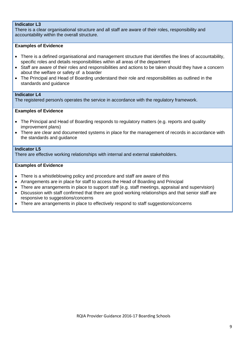#### **Indicator L3**

There is a clear organisational structure and all staff are aware of their roles, responsibility and accountability within the overall structure.

#### **Examples of Evidence**

- There is a defined organisational and management structure that identifies the lines of accountability, specific roles and details responsibilities within all areas of the department
- Staff are aware of their roles and responsibilities and actions to be taken should they have a concern about the welfare or safety of a boarder
- The Principal and Head of Boarding understand their role and responsibilities as outlined in the standards and guidance

#### **Indicator L4**

The registered person/s operates the service in accordance with the regulatory framework.

#### **Examples of Evidence**

- The Principal and Head of Boarding responds to regulatory matters (e.g. reports and quality improvement plans)
- There are clear and documented systems in place for the management of records in accordance with the standards and guidance

#### **Indicator L5**

There are effective working relationships with internal and external stakeholders.

#### **Examples of Evidence**

- There is a whistleblowing policy and procedure and staff are aware of this
- Arrangements are in place for staff to access the Head of Boarding and Principal
- There are arrangements in place to support staff (e.g. staff meetings, appraisal and supervision)
- Discussion with staff confirmed that there are good working relationships and that senior staff are responsive to suggestions/concerns
- There are arrangements in place to effectively respond to staff suggestions/concerns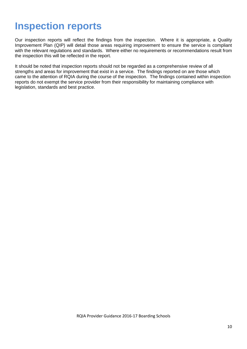## **Inspection reports**

Our inspection reports will reflect the findings from the inspection. Where it is appropriate, a Quality Improvement Plan (QIP) will detail those areas requiring improvement to ensure the service is compliant with the relevant regulations and standards. Where either no requirements or recommendations result from the inspection this will be reflected in the report.

It should be noted that inspection reports should not be regarded as a comprehensive review of all strengths and areas for improvement that exist in a service. The findings reported on are those which came to the attention of RQIA during the course of the inspection. The findings contained within inspection reports do not exempt the service provider from their responsibility for maintaining compliance with legislation, standards and best practice.